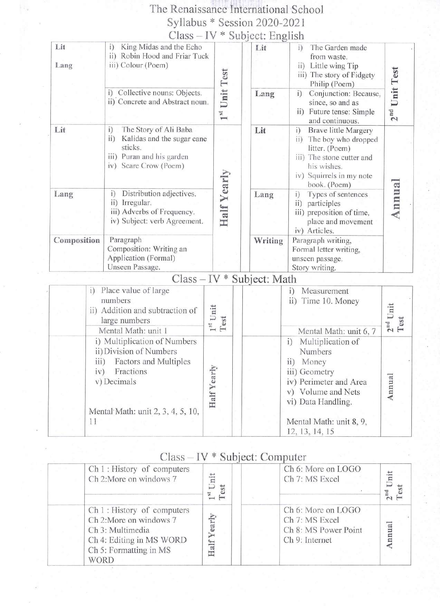# The Renaissance International School

 $\mathbb{R}_2$ 

Syllabus \* Session 2020-2021

|             |                   | $Class - IV$ * Subject: English                                                                                                                                          |               |                           |             |                                                                                                                                          |                                                                                                                                                                                                      |                    |
|-------------|-------------------|--------------------------------------------------------------------------------------------------------------------------------------------------------------------------|---------------|---------------------------|-------------|------------------------------------------------------------------------------------------------------------------------------------------|------------------------------------------------------------------------------------------------------------------------------------------------------------------------------------------------------|--------------------|
| Lit<br>Lang |                   | King Midas and the Echo<br>i)<br>ii) Robin Hood and Friar Tuck<br>iii) Colour (Poem)<br>i) Collective nouns: Objects.                                                    |               | 1 <sup>st</sup> Unit Test | Lit<br>Lang | The Garden made<br>i)<br>from waste.<br>ii) Little wing Tip<br>iii) The story of Fidgety<br>Philip (Poem)<br>i)<br>Conjunction: Because, | 2 <sup>nd</sup> Unit Test                                                                                                                                                                            |                    |
|             |                   | ii) Concrete and Abstract noun.                                                                                                                                          |               |                           |             |                                                                                                                                          | since, so and as<br>ii) Future tense: Simple<br>and continuous.                                                                                                                                      |                    |
| Lit         |                   | The Story of Ali Baba<br>i)<br>$\overline{11}$<br>Kalidas and the sugar cane<br>sticks.<br>iii) Puran and his garden<br>iv) Scare Crow (Poem)                            |               |                           |             | Lit                                                                                                                                      | <b>Brave little Margery</b><br>i)<br>The boy who dropped<br>$\rm ii)$<br>litter. (Poem)<br>iii) The stone cutter and<br>his wishes.<br>iv) Squirrels in my note<br>book. (Poem)                      |                    |
| Lang        |                   | Distribution adjectives.<br>i)<br>ii) Irregular.<br>iii) Adverbs of Frequency.<br>iv) Subject: verb Agreement.                                                           |               | Half Yearly               |             | Lang                                                                                                                                     | Types of sentences<br>i)<br>ii) participles<br>iii) preposition of time,<br>place and movement<br>iv) Articles.                                                                                      | Annua              |
| Composition |                   | Paragraph<br>Composition: Writing an<br>Application (Formal)<br>Unseen Passage.                                                                                          |               |                           |             | Writing                                                                                                                                  | Paragraph writing,<br>Formal letter writing,<br>unseen passage.<br>Story writing.                                                                                                                    |                    |
|             |                   | $Class - IV * Subject: Math$                                                                                                                                             |               |                           |             |                                                                                                                                          |                                                                                                                                                                                                      |                    |
|             | i)                | Place value of large<br>numbers<br>ii) Addition and subtraction of<br>large numbers                                                                                      | $1^{st}$ Unit | Test                      |             |                                                                                                                                          | Measurement<br>i)<br>ii) Time 10. Money                                                                                                                                                              | $2nd$ Unit<br>Test |
|             | iii)<br>iv)<br>11 | Mental Math: unit 1<br>i) Multiplication of Numbers<br>ii) Division of Numbers<br>Factors and Multiples<br>Fractions<br>v) Decimals<br>Mental Math: unit 2, 3, 4, 5, 10, | Half Yearly   |                           |             |                                                                                                                                          | Mental Math: unit 6, 7<br>Multiplication of<br>i)<br>Numbers<br>Money<br>$\rm ii)$<br>iii) Geometry<br>iv) Perimeter and Area<br>v) Volume and Nets<br>vi) Data Handling.<br>Mental Math: unit 8, 9, | Annual             |
|             |                   |                                                                                                                                                                          |               |                           |             |                                                                                                                                          | 12, 13, 14, 15                                                                                                                                                                                       |                    |

## Class - IV \* Subject: Computer

| Ch 1 : History of computers<br>Ch 2:More on windows 7                                                                                         | iit<br>est | Ch 6: More on LOGO<br>Ch 7: MS Excel                                                       | Unit<br>$_{\rm nd}$ |
|-----------------------------------------------------------------------------------------------------------------------------------------------|------------|--------------------------------------------------------------------------------------------|---------------------|
| Ch 1: History of computers<br>Ch 2:More on windows 7<br>Ch 3: Multimedia<br>Ch 4: Editing in MS WORD<br>Ch 5: Formatting in MS<br><b>WORD</b> |            | Ch 6: More on LOGO<br>Ch 7: MS Excel<br>Ch 8: MS Power Point<br>Ch <sub>9</sub> : Internet | n <sub>max</sub>    |